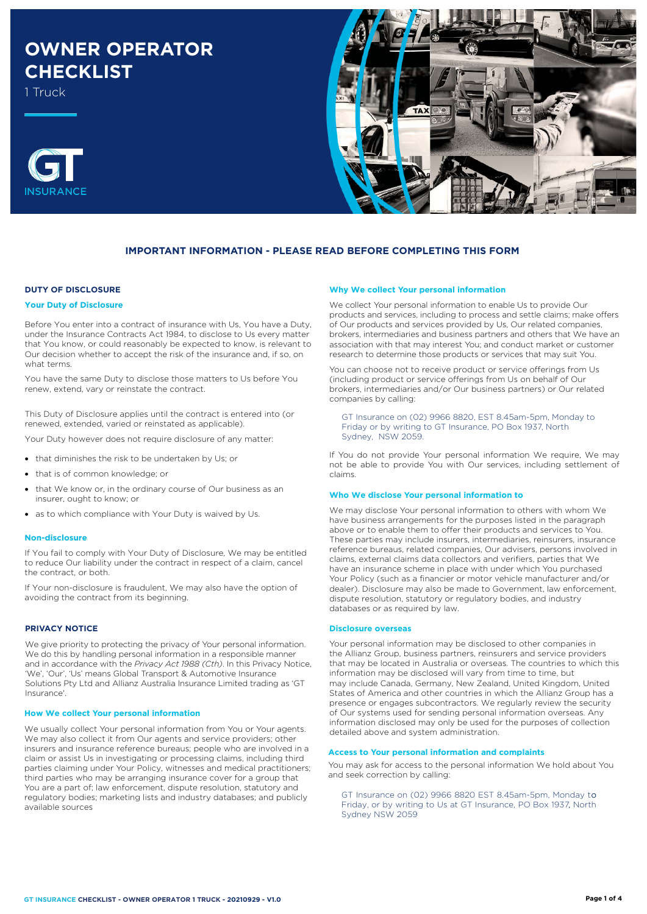# **OWNER OPERATOR CHECKLIST**

1 Truck





## **IMPORTANT INFORMATION - PLEASE READ BEFORE COMPLETING THIS FORM**

## **DUTY OF DISCLOSURE**

#### **Your Duty of Disclosure**

Before You enter into a contract of insurance with Us, You have a Duty, under the Insurance Contracts Act 1984, to disclose to Us every matter that You know, or could reasonably be expected to know, is relevant to Our decision whether to accept the risk of the insurance and, if so, on what terms.

You have the same Duty to disclose those matters to Us before You renew, extend, vary or reinstate the contract.

This Duty of Disclosure applies until the contract is entered into (or renewed, extended, varied or reinstated as applicable).

Your Duty however does not require disclosure of any matter:

- that diminishes the risk to be undertaken by Us; or
- that is of common knowledge; or
- that We know or, in the ordinary course of Our business as an insurer, ought to know; or
- as to which compliance with Your Duty is waived by Us.

#### **Non-disclosure**

If You fail to comply with Your Duty of Disclosure, We may be entitled to reduce Our liability under the contract in respect of a claim, cancel the contract, or both.

If Your non-disclosure is fraudulent, We may also have the option of avoiding the contract from its beginning.

## **PRIVACY NOTICE**

We give priority to protecting the privacy of Your personal information. We do this by handling personal information in a responsible manner and in accordance with the *Privacy Act 1988 (Cth)*. In this Privacy Notice, 'We', 'Our', 'Us' means Global Transport & Automotive Insurance Solutions Pty Ltd and Allianz Australia Insurance Limited trading as 'GT Insurance'.

#### **How We collect Your personal information**

We usually collect Your personal information from You or Your agents. We may also collect it from Our agents and service providers; other insurers and insurance reference bureaus; people who are involved in a claim or assist Us in investigating or processing claims, including third parties claiming under Your Policy, witnesses and medical practitioners; third parties who may be arranging insurance cover for a group that You are a part of; law enforcement, dispute resolution, statutory and regulatory bodies; marketing lists and industry databases; and publicly available sources

#### **Why We collect Your personal information**

We collect Your personal information to enable Us to provide Our products and services, including to process and settle claims; make offers of Our products and services provided by Us, Our related companies, brokers, intermediaries and business partners and others that We have an association with that may interest You; and conduct market or customer research to determine those products or services that may suit You.

You can choose not to receive product or service offerings from Us (including product or service offerings from Us on behalf of Our brokers, intermediaries and/or Our business partners) or Our related companies by calling:

GT Insurance on (02) 9966 8820, EST 8.45am-5pm, Monday to Friday or by writing to GT Insurance, PO Box 1937, North Sydney, NSW 2059.

If You do not provide Your personal information We require, We may not be able to provide You with Our services, including settlement of claims.

#### **Who We disclose Your personal information to**

We may disclose Your personal information to others with whom We have business arrangements for the purposes listed in the paragraph above or to enable them to offer their products and services to You. These parties may include insurers, intermediaries, reinsurers, insurance reference bureaus, related companies, Our advisers, persons involved in claims, external claims data collectors and verifiers, parties that We have an insurance scheme in place with under which You purchased Your Policy (such as a financier or motor vehicle manufacturer and/or dealer). Disclosure may also be made to Government, law enforcement, dispute resolution, statutory or regulatory bodies, and industry databases or as required by law.

#### **Disclosure overseas**

Your personal information may be disclosed to other companies in the Allianz Group, business partners, reinsurers and service providers that may be located in Australia or overseas. The countries to which this information may be disclosed will vary from time to time, but may include Canada, Germany, New Zealand, United Kingdom, United States of America and other countries in which the Allianz Group has a presence or engages subcontractors. We regularly review the security of Our systems used for sending personal information overseas. Any information disclosed may only be used for the purposes of collection detailed above and system administration.

## **Access to Your personal information and complaints**

You may ask for access to the personal information We hold about You and seek correction by calling:

, Friday, or by writing to Us at GT Insurance, PO Box 1937, North GT Insurance on (02) 9966 8820 EST 8.45am-5pm, Monday to Sydney NSW 2059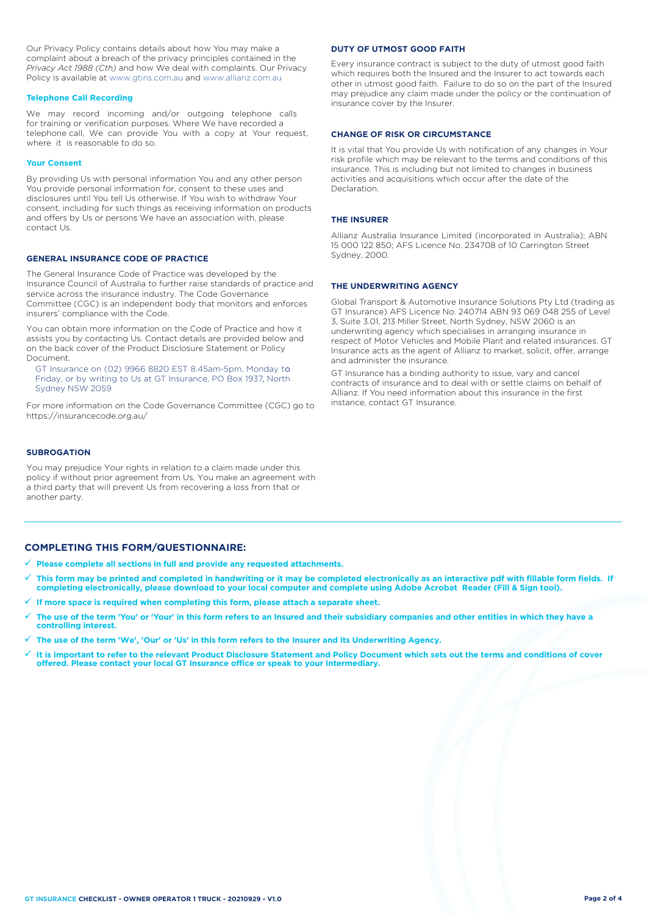Our Privacy Policy contains details about how You may make a complaint about a breach of the privacy principles contained in the *Privacy Act 1988 (Cth)* and how We deal with complaints. Our Privacy Policy is available at [www.gtins.com.au](https://www.gtins.com.au/documents-and-policies/) and [www.allianz.com.au](https://www.allianz.com.au/about-us/privacy/)

#### **Telephone Call Recording**

We may record incoming and/or outgoing telephone calls for training or verification purposes. Where We have recorded a telephone call, We can provide You with a copy at Your request, where it is reasonable to do so.

#### **Your Consent**

By providing Us with personal information You and any other person You provide personal information for, consent to these uses and disclosures until You tell Us otherwise. If You wish to withdraw Your consent, including for such things as receiving information on products and offers by Us or persons We have an association with, please contact Us.

## **GENERAL INSURANCE CODE OF PRACTICE**

The General Insurance Code of Practice was developed by the Insurance Council of Australia to further raise standards of practice and service across the insurance industry. The Code Governance Committee (CGC) is an independent body that monitors and enforces insurers' compliance with the Code.

You can obtain more information on the Code of Practice and how it assists you by contacting Us. Contact details are provided below and on the back cover of the Product Disclosure Statement or Policy Document.

, Friday, or by writing to Us at GT Insurance, PO Box 1937, North GT Insurance on (02) 9966 8820 EST 8.45am-5pm, Monday to Sydney NSW 2059

For more information on the Code Governance Committee (CGC) go to <https://insurancecode.org.au/>

## **SUBROGATION**

You may prejudice Your rights in relation to a claim made under this policy if without prior agreement from Us, You make an agreement with a third party that will prevent Us from recovering a loss from that or another party.

#### **DUTY OF UTMOST GOOD FAITH**

Every insurance contract is subject to the duty of utmost good faith which requires both the Insured and the Insurer to act towards each other in utmost good faith. Failure to do so on the part of the Insured may prejudice any claim made under the policy or the continuation of insurance cover by the Insurer.

#### **CHANGE OF RISK OR CIRCUMSTANCE**

It is vital that You provide Us with notification of any changes in Your risk profile which may be relevant to the terms and conditions of this insurance. This is including but not limited to changes in business activities and acquisitions which occur after the date of the Declaration.

#### **THE INSURER**

Allianz Australia Insurance Limited (incorporated in Australia); ABN 15 000 122 850; AFS Licence No. 234708 of 10 Carrington Street Sydney, 2000.

## **THE UNDERWRITING AGENCY**

Global Transport & Automotive Insurance Solutions Pty Ltd (trading as GT Insurance) AFS Licence No. 240714 ABN 93 069 048 255 of Level 3, Suite 3.01, 213 Miller Street, North Sydney, NSW 2060 is an underwriting agency which specialises in arranging insurance in respect of Motor Vehicles and Mobile Plant and related insurances. GT Insurance acts as the agent of Allianz to market, solicit, offer, arrange and administer the insurance.

GT Insurance has a binding authority to issue, vary and cancel contracts of insurance and to deal with or settle claims on behalf of Allianz. If You need information about this insurance in the first instance, contact GT Insurance.

## **COMPLETING THIS FORM/QUESTIONNAIRE:**

- **Please complete all sections in full and provide any requested attachments.**
- **This form may be printed and completed in handwriting or it may be completed electronically as an interactive pdf with fillable form fields. If completing electronically, please download to your local computer and complete using Adobe Acrobat Reader (Fill & Sign tool).**
- **If more space is required when completing this form, please attach a separate sheet.**
- **The use of the term 'You' or 'Your' in this form refers to an Insured and their subsidiary companies and other entities in which they have a controlling interest.**
- **The use of the term 'We', 'Our' or 'Us' in this form refers to the Insurer and its Underwriting Agency.**
- **It is important to refer to the relevant Product Disclosure Statement and Policy Document which sets out the terms and conditions of cover offered. Please contact your local GT Insurance office or speak to your Intermediary.**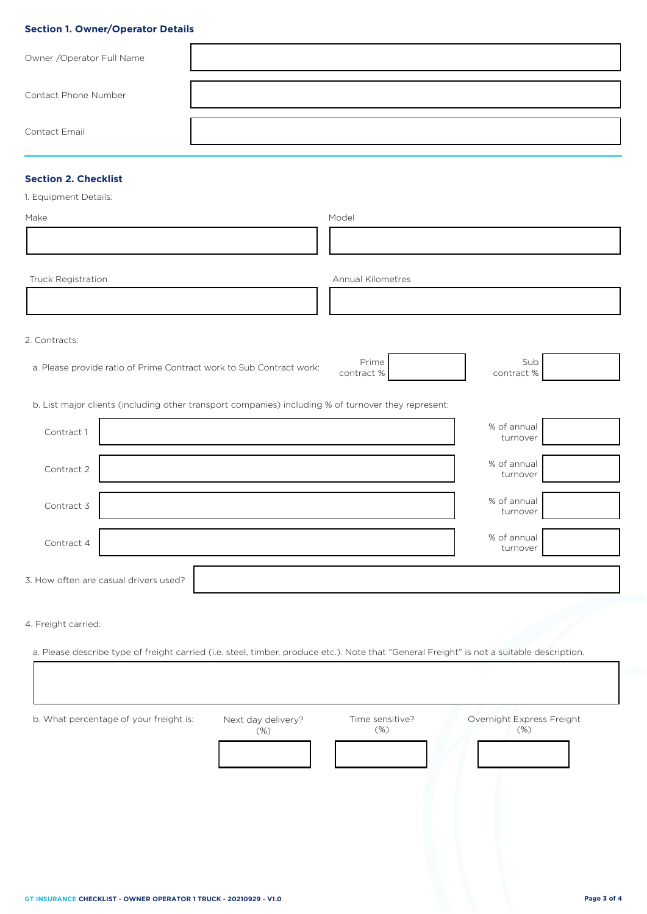## **Section 1. Owner/Operator Details**

| Owner / Operator Full Name |  |
|----------------------------|--|
| Contact Phone Number       |  |
| Contact Email              |  |

# **Section 2. Checklist**

| 1. Equipment Details: |  |
|-----------------------|--|
|-----------------------|--|

| Make               | Model             |
|--------------------|-------------------|
|                    |                   |
| Truck Registration | Annual Kilometres |

2. Contracts:

a. Please provide ratio of Prime Contract work to Sub Contract work: Prime

b. List major clients (including other transport companies) including % of turnover they represent:

| Contract 1 |                                       | % of annual<br>turnover |  |
|------------|---------------------------------------|-------------------------|--|
| Contract 2 |                                       | % of annual<br>turnover |  |
| Contract 3 |                                       | % of annual<br>turnover |  |
| Contract 4 |                                       | % of annual<br>turnover |  |
|            | 3. How often are casual drivers used? |                         |  |

contract %

Sub contract %

4. Freight carried:

a. Please describe type of freight carried (i.e. steel, timber, produce etc.). Note that "General Freight" is not a suitable description.

b. What percentage of your freight is: Next day delivery? (%) Time sensitive? (%) Overnight Express Freight (%)